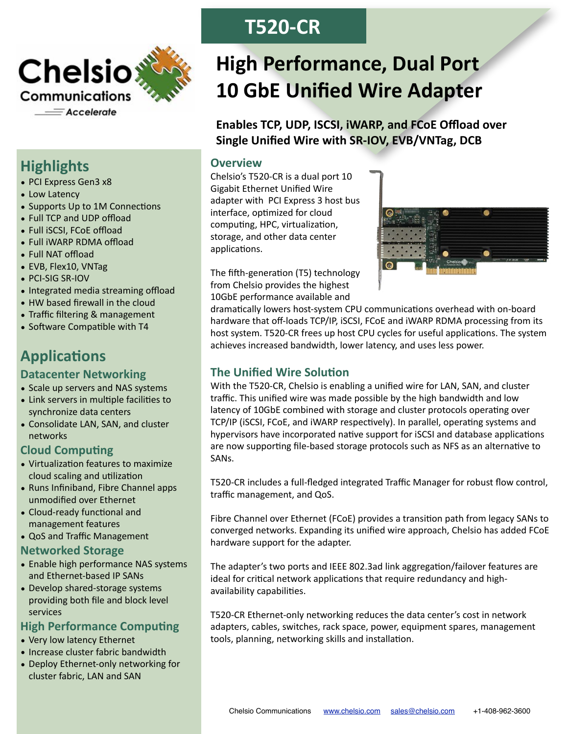

# **Highlights**

- PCI Express Gen3 x8
- Low Latency
- Supports Up to 1M Connections
- Full TCP and UDP offload
- Full iSCSI, FCoE offload
- Full iWARP RDMA offload
- Full NAT offload
- EVB, Flex10, VNTag
- $\bullet$  PCI-SIG SR-IOV
- Integrated media streaming offload
- HW based firewall in the cloud
- Traffic filtering & management
- Software Compatible with T4

# **Applications**

## **Datacenter Networking**

- Scale up servers and NAS systems
- Link servers in multiple facilities to synchronize data centers
- Consolidate LAN, SAN, and cluster networks

# **Cloud Computing**

- Virtualization features to maximize cloud scaling and utilization
- Runs Infiniband, Fibre Channel apps unmodified over Ethernet
- Cloud-ready functional and management features
- QoS and Traffic Management

#### **Networked,Storage,**

- Enable high performance NAS systems and Ethernet-based IP SANs
- Develop shared-storage systems providing both file and block level services

#### **High Performance Computing**

- Very low latency Ethernet
- $\bullet$  Increase cluster fabric bandwidth
- Deploy Ethernet-only networking for cluster fabric, LAN and SAN

# **T520%CR**

# **High Performance, Dual Port 10 GbE Unified Wire Adapter**

Enables TCP, UDP, ISCSI, **iWARP, and FCoE Offload over** Single Unified Wire with SR-IOV, EVB/VNTag, DCB

## **Overview,**

Chelsio's T520-CR is a dual port 10 Gigabit Ethernet Unified Wire adapter with PCI Express 3 host bus interface, optimized for cloud computing, HPC, virtualization, storage, and other data center applications.



The fifth-generation (T5) technology from Chelsio provides the highest 10GbE performance available and

dramatically lowers host-system CPU communications overhead with on-board hardware that off-loads TCP/IP, iSCSI, FCoE and iWARP RDMA processing from its host system. T520-CR frees up host CPU cycles for useful applications. The system achieves increased bandwidth, lower latency, and uses less power.

## **The Unified Wire Solution**

With the T520-CR, Chelsio is enabling a unified wire for LAN, SAN, and cluster traffic. This unified wire was made possible by the high bandwidth and low latency of 10GbE combined with storage and cluster protocols operating over TCP/IP (iSCSI, FCoE, and iWARP respectively). In parallel, operating systems and hypervisors have incorporated native support for iSCSI and database applications are now supporting file-based storage protocols such as NFS as an alternative to SAN<sub>s</sub>.

T520-CR includes a full-fledged integrated Traffic Manager for robust flow control, traffic management, and QoS.

Fibre Channel over Ethernet (FCoE) provides a transition path from legacy SANs to converged networks. Expanding its unified wire approach, Chelsio has added FCoE hardware support for the adapter.

The adapter's two ports and IEEE 802.3ad link aggregation/failover features are ideal for critical network applications that require redundancy and highavailability capabilities.

T520-CR Ethernet-only networking reduces the data center's cost in network adapters, cables, switches, rack space, power, equipment spares, management tools, planning, networking skills and installation.